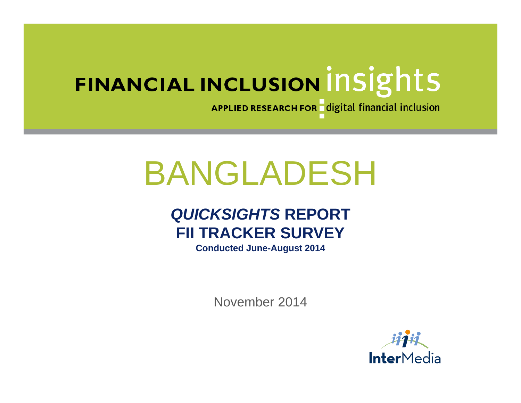APPLIED RESEARCH FOR digital financial inclusion

# BANGLADESH

# *QUICKSIGHTS* **REPORT FII TRACKER SURVEY**

**Conducted June-August 2014**

November 2014

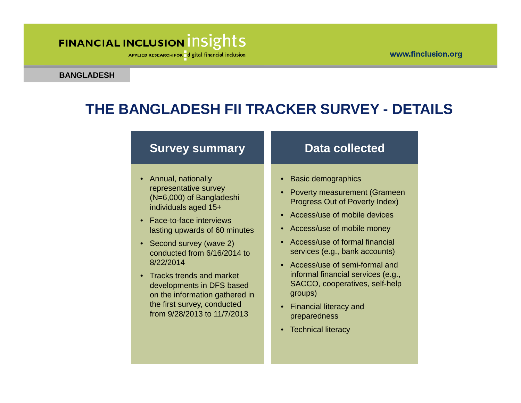APPLIED RESEARCH FOR digital financial inclusion

#### **BANGLADESH**

### **THE BANGLADESH FII TRACKER SURVEY - DETAILS**

#### **Survey summary**

- Annual, nationally representative survey (N=6,000) of Bangladeshi individuals aged 15+
- Face-to-face interviews lasting upwards of 60 minutes
- Second survey (wave 2) conducted from 6/16/2014 to 8/22/2014
- Tracks trends and market developments in DFS based on the information gathered in the first survey, conducted from 9/28/2013 to 11/7/2013

#### **Data collected**

- Basic demographics
- • Poverty measurement (Grameen Progress Out of Poverty Index)
- Access/use of mobile devices
- Access/use of mobile money
- Access/use of formal financial services (e.g., bank accounts)
- Access/use of semi-formal and informal financial services (e.g., SACCO, cooperatives, self-help groups)
- Financial literacy and preparedness
- Technical literacy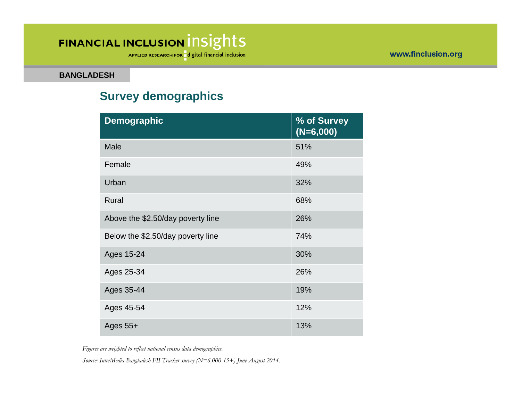APPLIED RESEARCH FOR digital financial inclusion

**BANGLADESH**

#### **Survey demographics**

| <b>Demographic</b>                | % of Survey<br>$(N=6,000)$ |
|-----------------------------------|----------------------------|
| <b>Male</b>                       | 51%                        |
| Female                            | 49%                        |
| Urban                             | 32%                        |
| Rural                             | 68%                        |
| Above the \$2.50/day poverty line | 26%                        |
| Below the \$2.50/day poverty line | 74%                        |
| Ages 15-24                        | 30%                        |
| Ages 25-34                        | 26%                        |
| Ages 35-44                        | 19%                        |
| Ages 45-54                        | 12%                        |
| Ages $55+$                        | 13%                        |

*Figures are weighted to reflect national census data demographics.*

*Source: InterMedia Bangladesh FII Tracker survey (N=6,000 15+) June-August 2014.*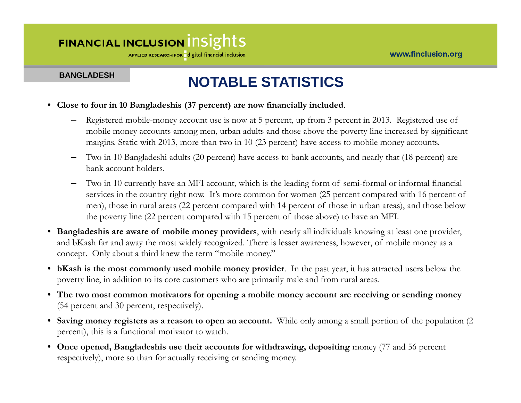APPLIED RESEARCH FOR digital financial inclusion

#### **BANGLADESH**

### **NOTABLE STATISTICS**

- **Close to four in 10 Bangladeshis (37 percent) are now financially included**.
	- – Registered mobile-money account use is now at 5 percent, up from 3 percent in 2013. Registered use of mobile money accounts among men, urban adults and those above the poverty line increased by significant margins. Static with 2013, more than two in 10 (23 percent) have access to mobile money accounts.
	- Two in 10 Bangladeshi adults (20 percent) have access to bank accounts, and nearly that (18 percent) are bank account holders.
	- – Two in 10 currently have an MFI account, which is the leading form of semi-formal or informal financial services in the country right now. It's more common for women (25 percent compared with 16 percent of men), those in rural areas (22 percent compared with 14 percent of those in urban areas), and those below the poverty line (22 percent compared with 15 percent of those above) to have an MFI.
- **Bangladeshis are aware of mobile money providers**, with nearly all individuals knowing at least one provider, and bKash far and away the most widely recognized. There is lesser awareness, however, of mobile money as a concept. Only about a third knew the term "mobile money."
- **bKash is the most commonly used mobile money provider**. In the past year, it has attracted users below the poverty line, in addition to its core customers who are primarily male and from rural areas.
- **The two most common motivators for opening a mobile money account are receiving or sending money** (54 percent and 30 percent, respectively).
- **Saving money registers as a reason to open an account.** While only among a small portion of the population (2 percent), this is a functional motivator to watch.
- **Once opened, Bangladeshis use their accounts for withdrawing, depositing** money (77 and 56 percent respectively), more so than for actually receiving or sending money.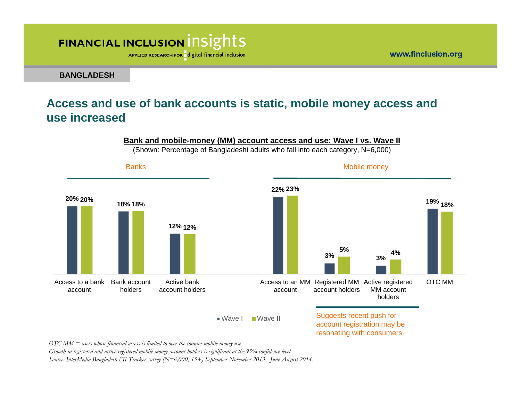APPLIED RESEARCH FOR digital financial inclusion

**BANGLADESH**

#### **Access and use of bank accounts is static, mobile money access and use increased**

#### **Bank and mobile-money (MM) account access and use: Wave I vs. Wave II**

(Shown: Percentage of Bangladeshi adults who fall into each category, N=6,000)



*OTC MM = users whose financial access is limited to over-the-counter mobile money use*

*Growth in registered and active registered mobile money account holders is significant at the 95% confidence level.*

*Source: InterMedia Bangladesh FII Tracker survey (N=6,000, 15+) September-November 2013*; *June-August 2014.*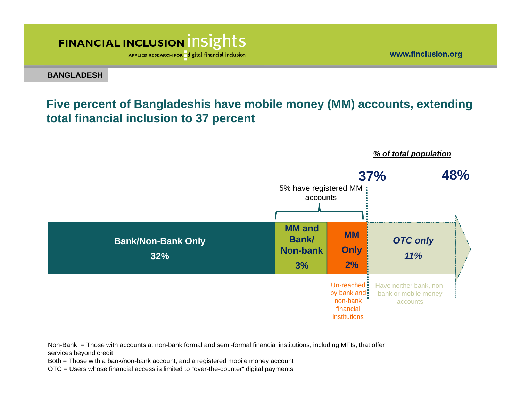APPLIED RESEARCH FOR digital financial inclusion

**BANGLADESH**

### **Five percent of Bangladeshis have mobile money (MM) accounts, extending total financial inclusion to 37 percent**



#### *% of total population*

www.finclusion.org

Non-Bank = Those with accounts at non-bank formal and semi-formal financial institutions, including MFIs, that offer services beyond credit

Both = Those with a bank/non-bank account, and a registered mobile money account

OTC = Users whose financial access is limited to "over-the-counter" digital payments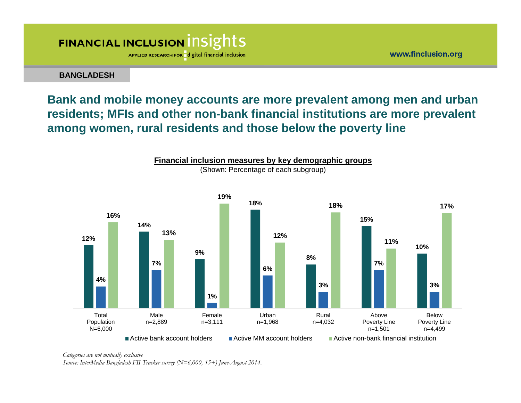

**BANGLADESH**

### **Bank and mobile money accounts are more prevalent among men and urban residents; MFIs and other non-bank financial institutions are more prevalent among women, rural residents and those below the poverty line**



*Categories are not mutually exclusive*

*Source: InterMedia Bangladesh FII Tracker survey (N=6,000, 15+) June-August 2014.* 

www.finclusion.org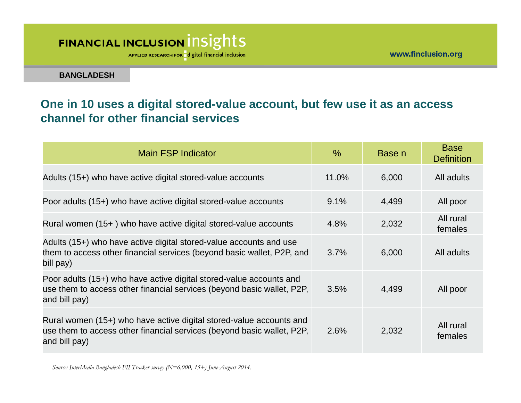APPLIED RESEARCH FOR digital financial inclusion

**BANGLADESH**

### **One in 10 uses a digital stored-value account, but few use it as an access channel for other financial services**

| Main FSP Indicator                                                                                                                                             | $\frac{0}{0}$ | Base n | <b>Base</b><br><b>Definition</b> |
|----------------------------------------------------------------------------------------------------------------------------------------------------------------|---------------|--------|----------------------------------|
| Adults (15+) who have active digital stored-value accounts                                                                                                     | 11.0%         | 6,000  | All adults                       |
| Poor adults (15+) who have active digital stored-value accounts                                                                                                | 9.1%          | 4,499  | All poor                         |
| Rural women (15+) who have active digital stored-value accounts                                                                                                | 4.8%          | 2,032  | All rural<br>females             |
| Adults (15+) who have active digital stored-value accounts and use<br>them to access other financial services (beyond basic wallet, P2P, and<br>bill pay)      | 3.7%          | 6,000  | All adults                       |
| Poor adults (15+) who have active digital stored-value accounts and<br>use them to access other financial services (beyond basic wallet, P2P,<br>and bill pay) | 3.5%          | 4,499  | All poor                         |
| Rural women (15+) who have active digital stored-value accounts and<br>use them to access other financial services (beyond basic wallet, P2P,<br>and bill pay) | 2.6%          | 2,032  | All rural<br>females             |

*Source: InterMedia Bangladesh FII Tracker survey (N=6,000, 15+) June-August 2014.*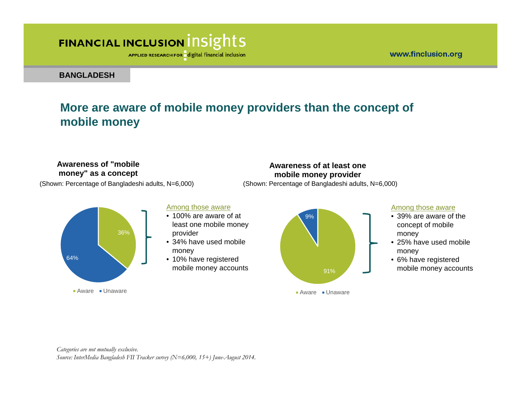APPLIED RESEARCH FOR digital financial inclusion

**BANGLADESH**

### **More are aware of mobile money providers than the concept of mobile money**

#### **Awareness of "mobile money" as a concept**

(Shown: Percentage of Bangladeshi adults, N=6,000) (Shown: Percentage of Bangladeshi adults, N=6,000)



#### Among those aware

- 100% are aware of at least one mobile money provider
- 34% have used mobile money
- 10% have registered mobile money accounts and the state of the state of the state of the state of the state of the state of the state of the state of the state of the state of the state of the state of the state of the state of the state of t



Aware Unaware

**Awareness of at least one mobile money provider**

#### Among those aware

- 39% are aware of the concept of mobile money
- 25% have used mobile money
- 6% have registered mobile money accounts

*Categories are not mutually exclusive. Source: InterMedia Bangladesh FII Tracker survey (N=6,000, 15+) June-August 2014.*  www.finclusion.org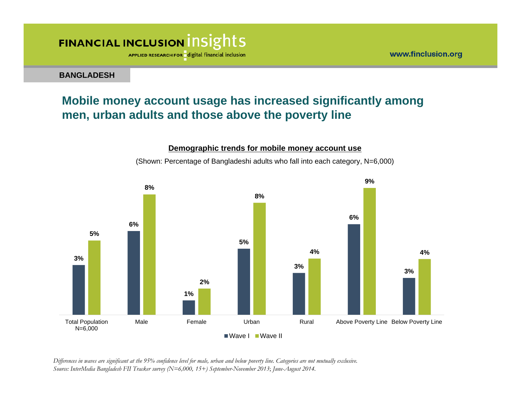

**BANGLADESH**

### **Mobile money account usage has increased significantly among men, urban adults and those above the poverty line**



(Shown: Percentage of Bangladeshi adults who fall into each category, N=6,000)

**Demographic trends for mobile money account use** 

*Differences in waves are significant at the 95% confidence level for male, urban and below poverty line. Categories are not mutually exclusive. Source: InterMedia Bangladesh FII Tracker survey (N=6,000, 15+) September-November 2013*; *June-August 2014.*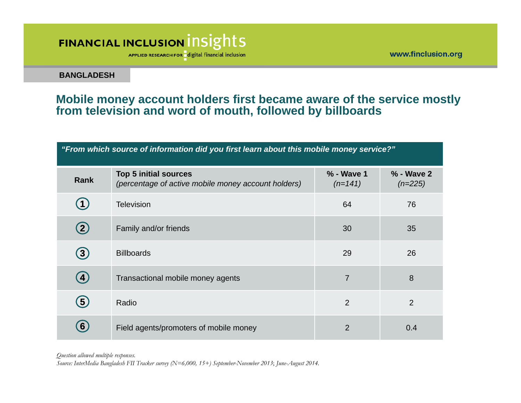APPLIED RESEARCH FOR digital financial inclusion

www.finclusion.org

**BANGLADESH**

#### **Mobile money account holders first became aware of the service mostly from television and word of mouth, followed by billboards**

*"From which source of information did you first learn about this mobile money service?"*

| Rank              | <b>Top 5 initial sources</b><br>(percentage of active mobile money account holders) | % - Wave 1<br>$(n=141)$ | % - Wave 2<br>$(n=225)$ |
|-------------------|-------------------------------------------------------------------------------------|-------------------------|-------------------------|
| 4                 | <b>Television</b>                                                                   | 64                      | 76                      |
| $\bf(2)$          | Family and/or friends                                                               | 30                      | 35                      |
| $\bf(3)$          | <b>Billboards</b>                                                                   | 29                      | 26                      |
| $\left( 4\right)$ | Transactional mobile money agents                                                   | $\overline{7}$          | 8                       |
| $\bf (5)$         | Radio                                                                               | $\overline{2}$          | $\overline{2}$          |
| $\bm{6}$          | Field agents/promoters of mobile money                                              | 2                       | 0.4                     |

*Question allowed multiple responses.* 

*Source: InterMedia Bangladesh FII Tracker survey (N=6,000, 15+) September-November 2013*; *June-August 2014.*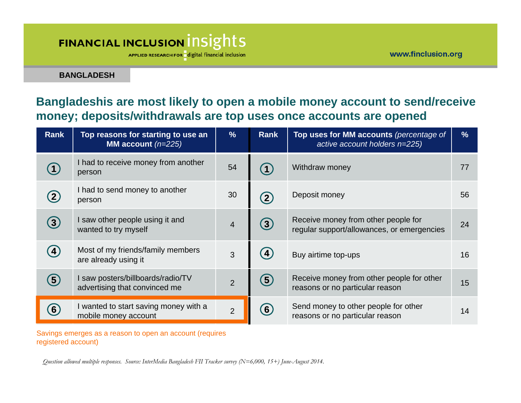APPLIED RESEARCH FOR digital financial inclusion

**BANGLADESH**

### **Bangladeshis are most likely to open a mobile money account to send/receive money; deposits/withdrawals are top uses once accounts are opened**

| <b>Rank</b>                     | Top reasons for starting to use an<br>MM account $(n=225)$         | %              | <b>Rank</b>        | Top uses for MM accounts (percentage of<br>active account holders n=225)          | $\frac{9}{6}$ |
|---------------------------------|--------------------------------------------------------------------|----------------|--------------------|-----------------------------------------------------------------------------------|---------------|
|                                 | I had to receive money from another<br>person                      | 54             |                    | Withdraw money                                                                    | 77            |
| $\mathbf{2}$                    | I had to send money to another<br>person                           | 30             | $\mathbf{2}$       | Deposit money                                                                     | 56            |
| $\left( 3\right)$               | I saw other people using it and<br>wanted to try myself            | $\overline{4}$ | $\left[ 3 \right]$ | Receive money from other people for<br>regular support/allowances, or emergencies | 24            |
| $\left  \boldsymbol{4} \right $ | Most of my friends/family members<br>are already using it          | 3              | $\overline{4}$     | Buy airtime top-ups                                                               | 16            |
| (5)                             | I saw posters/billboards/radio/TV<br>advertising that convinced me | $\overline{2}$ | (5)                | Receive money from other people for other<br>reasons or no particular reason      | 15            |
| 6                               | I wanted to start saving money with a<br>mobile money account      | $\overline{2}$ | $6 \,$             | Send money to other people for other<br>reasons or no particular reason           | 14            |

Savings emerges as a reason to open an account (requires registered account)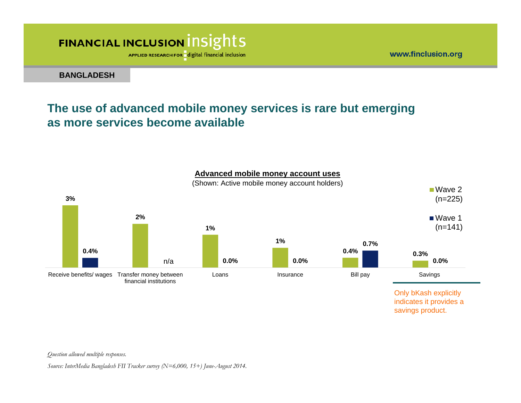APPLIED RESEARCH FOR digital financial inclusion

**BANGLADESH**

### **The use of advanced mobile money services is rare but emerging as more services become available**



**Advanced mobile money account uses** 

*Question allowed multiple responses.* 

*Source: InterMedia Bangladesh FII Tracker survey (N=6,000, 15+) June-August 2014.* 

www.finclusion.org

savings product.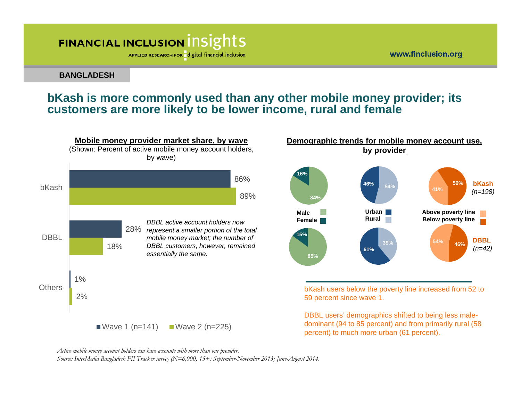APPLIED RESEARCH FOR digital financial inclusion

#### **BANGLADESH**

#### **bKash is more commonly used than any other mobile money provider; its customers are more likely to be lower income, rural and female**





bKash users below the poverty line increased from 52 to 59 percent since wave 1.

DBBL users' demographics shifted to being less maledominant (94 to 85 percent) and from primarily rural (58 percent) to much more urban (61 percent).

*Source: InterMedia Bangladesh FII Tracker survey (N=6,000, 15+) September-November 2013; June-August 2014.* 

*Active mobile money account holders can have accounts with more than one provider.*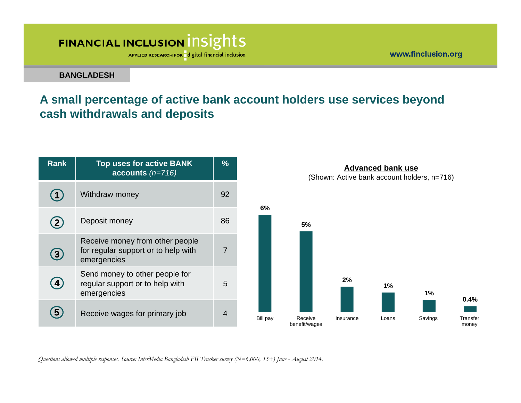APPLIED RESEARCH FOR digital financial inclusion

**BANGLADESH**

### **A small percentage of active bank account holders use services beyond cash withdrawals and deposits**

www.finclusion.org

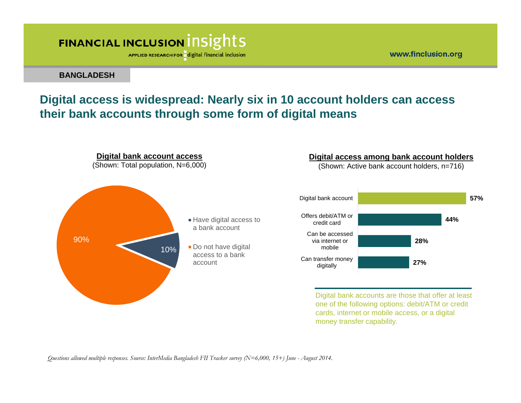APPLIED RESEARCH FOR digital financial inclusion

#### **BANGLADESH**

### **Digital access is widespread: Nearly six in 10 account holders can access their bank accounts through some form of digital means**

www.finclusion.org

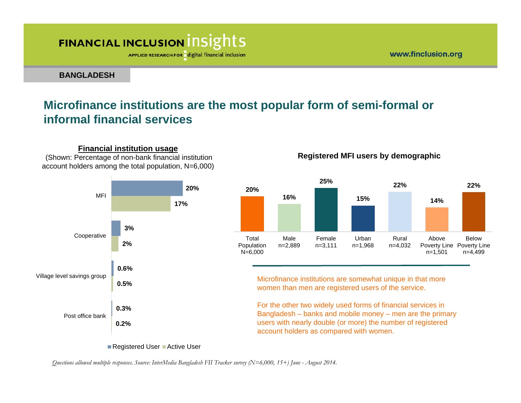**Financial institution usage** (Shown: Percentage of non-bank financial institution

APPLIED RESEARCH FOR digital financial inclusion

www.finclusion.org

**Registered MFI users by demographic**

**BANGLADESH**

#### **Microfinance institutions are the most popular form of semi-formal or informal financial services**

**20%3%0.6%0.3%17%2%0.5%0.2%**MFICooperative Village level savings group Post office bank**20%16%25%15%22%14%22%**Total**Population** N=6,000 Malen=2,889 Femalen=3,111 Urbann=1,968 Ruraln=4,032 AbovePoverty Line Poverty Line n=1,501 Belown=4,499 Microfinance institutions are somewhat unique in that more women than men are registered users of the service. For the other two widely used forms of financial services in Bangladesh – banks and mobile money – men are the primary users with nearly double (or more) the number of registered account holders as compared with women. account holders among the total population, N=6,000)

Registered User Active User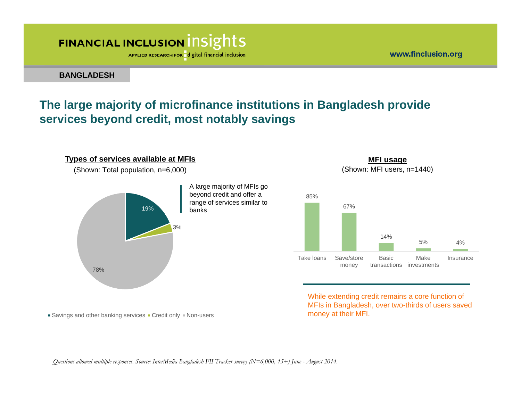APPLIED RESEARCH FOR digital financial inclusion

**BANGLADESH**

### **The large majority of microfinance institutions in Bangladesh provide services beyond credit, most notably savings**



 $\blacksquare$  Savings and other banking services  $\blacksquare$  Credit only  $\blacksquare$  Non-users



85%



While extending credit remains a core function of MFIs in Bangladesh, over two-thirds of users saved money at their MFI.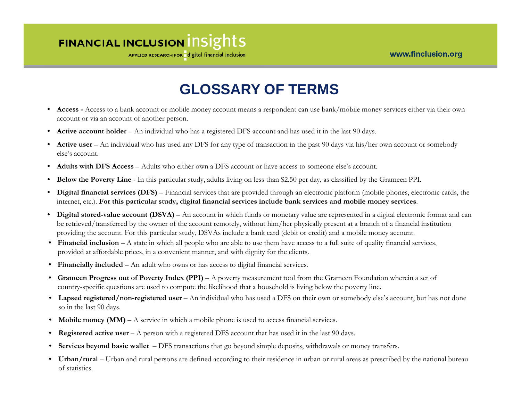APPLIED RESEARCH FOR digital financial inclusion

### **GLOSSARY OF TERMS**

- **Access -** Access to a bank account or mobile money account means a respondent can use bank/mobile money services either via their own account or via an account of another person.
- **Active account holder** An individual who has a registered DFS account and has used it in the last 90 days.
- **Active user** An individual who has used any DFS for any type of transaction in the past 90 days via his/her own account or somebody else's account.
- $\bullet$ **Adults with DFS Access** – Adults who either own a DFS account or have access to someone else's account.
- •**Below the Poverty Line** - In this particular study, adults living on less than \$2.50 per day, as classified by the Grameen PPI.
- $\bullet$  **Digital financial services (DFS)** – Financial services that are provided through an electronic platform (mobile phones, electronic cards, the internet, etc.). **For this particular study, digital financial services include bank services and mobile money services**.
- •**Digital stored-value account (DSVA)** – An account in which funds or monetary value are represented in a digital electronic format and can be retrieved/transferred by the owner of the account remotely, without him/her physically present at a branch of a financial institution providing the account. For this particular study, DSVAs include a bank card (debit or credit) and a mobile money account.
- **Financial inclusion**  A state in which all people who are able to use them have access to a full suite of quality financial services, provided at affordable prices, in a convenient manner, and with dignity for the clients.
- **Financially included**  An adult who owns or has access to digital financial services.
- **Grameen Progress out of Poverty Index (PPI)**  A poverty measurement tool from the Grameen Foundation wherein a set of country-specific questions are used to compute the likelihood that a household is living below the poverty line.
- **Lapsed registered/non-registered user**  An individual who has used a DFS on their own or somebody else's account, but has not done so in the last 90 days.
- **Mobile money (MM)**  A service in which a mobile phone is used to access financial services.
- **Registered active user**  A person with a registered DFS account that has used it in the last 90 days.
- **Services beyond basic wallet**  DFS transactions that go beyond simple deposits, withdrawals or money transfers.
- **Urban/rural**  Urban and rural persons are defined according to their residence in urban or rural areas as prescribed by the national bureau of statistics.